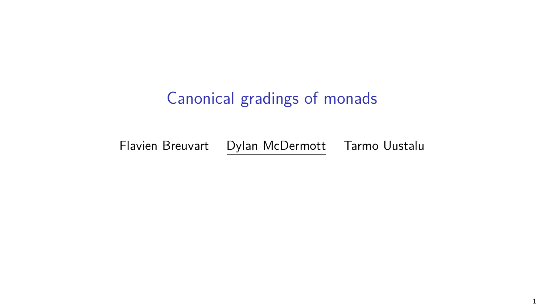# Canonical gradings of monads

Flavien Breuvart Dylan McDermott Tarmo Uustalu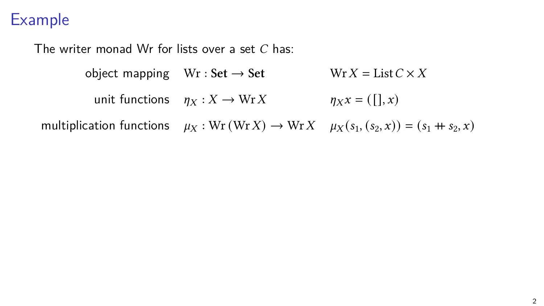The writer monad Wr for lists over a set  $C$  has:

object mapping  $Wr : Set \rightarrow Set$  Wr  $X = List C \times X$ unit functions  $\eta_X : X \to WrX$   $\eta_X x = ([] , x)$ multiplication functions  $\mu_X : \text{Wr}(WrX) \to \text{Wr}X \quad \mu_X(s_1, (s_2, x)) = (s_1 + s_2, x)$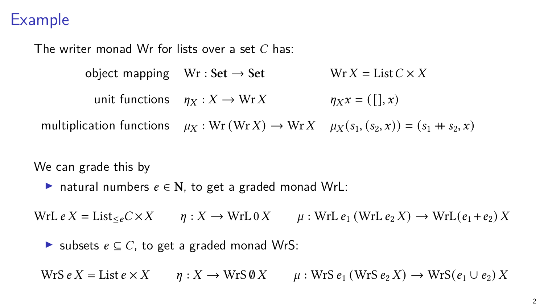The writer monad Wr for lists over a set  $C$  has:

object mapping  $Wr : Set \rightarrow Set$  Wr  $X = List C \times X$ unit functions  $n_x : X \to WrX$   $n_x x = (1, x)$ multiplication functions  $\mu_X : \text{Wr}(\text{Wr} X) \to \text{Wr} X$   $\mu_X(s_1, (s_2, x)) = (s_1 + s_2, x)$ 

We can grade this by

 $▶$  natural numbers  $e \in N$ , to get a graded monad WrL:

 $WrL e X = List_{\leq e} C \times X$   $\eta: X \to WrL 0 X$   $\mu: WrL e_1 (WrL e_2 X) \to WrL(e_1 + e_2) X$ 

▶ subsets  $e \subseteq C$ , to get a graded monad WrS:

 $Wrs e X = List e \times X$   $\qquad$   $n: X \rightarrow Wrs \emptyset X$   $\qquad$   $\qquad$   $\qquad$  : WrS  $e_1$  (WrS  $e_2$  X)  $\rightarrow Wrs(e_1 \cup e_2) X$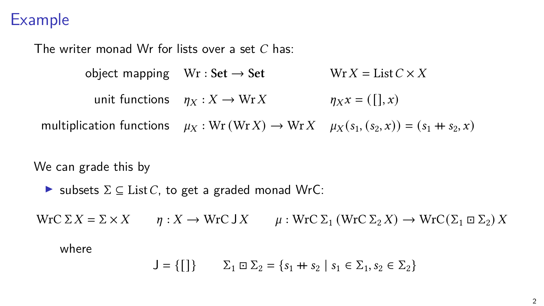The writer monad Wr for lists over a set  $C$  has:

object mapping  $Wr : Set \rightarrow Set$  Wr  $X = List C \times X$ unit functions  $\eta_X : X \to WrX$   $\eta_X x = ([] , x)$ multiplication functions  $\mu_X : \text{Wr}(\text{Wr} X) \to \text{Wr} X$   $\mu_X(s_1, (s_2, x)) = (s_1 + s_2, x)$ 

We can grade this by

 $\triangleright$  subsets  $\Sigma \subseteq$  List C, to get a graded monad WrC:

 $WrC \Sigma X = \Sigma \times X$   $\qquad n: X \to WrC \cup X$   $\qquad \qquad \mu: WrC \Sigma_1 (WrC \Sigma_2 X) \to WrC(\Sigma_1 \boxdot \Sigma_2) X$ 

where

$$
J = \{ [] \} \qquad \Sigma_1 \boxdot \Sigma_2 = \{ s_1 + s_2 \mid s_1 \in \Sigma_1, s_2 \in \Sigma_2 \}
$$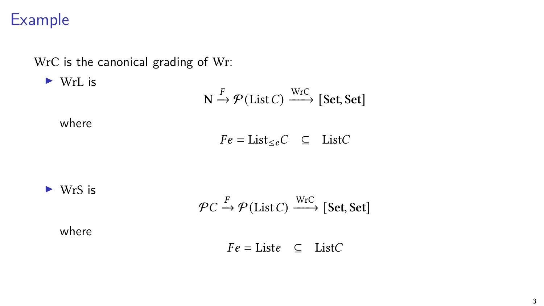WrC is the canonical grading of Wr:

▶ WrL is

$$
N \xrightarrow{F} \mathcal{P}(\text{List } C) \xrightarrow{\text{WrC}} [\text{Set}, \text{Set}]
$$

where

 $Fe = \text{List}_{\leq e}C \subseteq \text{List}C$ 

 $\triangleright$  WrS is

$$
\mathcal{P}C \xrightarrow{F} \mathcal{P}(\text{List } C) \xrightarrow{\text{WrC}} [\text{Set}, \text{Set}]
$$

where

$$
Fe = \text{List}e \quad \subseteq \quad \text{List}C
$$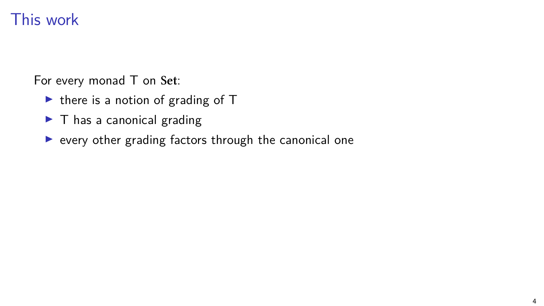## This work

For every monad T on **Set**:

- $\triangleright$  there is a notion of grading of T
- $\blacktriangleright$  T has a canonical grading
- ▶ every other grading factors through the canonical one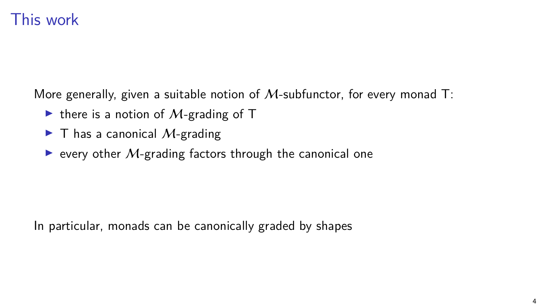#### This work

More generally, given a suitable notion of  $M$ -subfunctor, for every monad T:

- $\triangleright$  there is a notion of M-grading of T
- $\blacktriangleright$  T has a canonical *M*-grading
- $\triangleright$  every other M-grading factors through the canonical one

In particular, monads can be canonically graded by shapes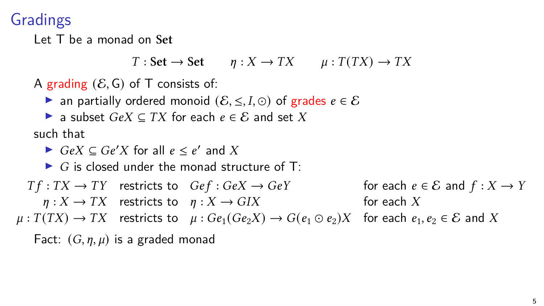## Gradings

Let T be a monad on **Set**

 $T : Set \rightarrow Set$   $n : X \rightarrow TX$   $\mu : T(TX) \rightarrow TX$ 

A grading  $(\mathcal{E}, \mathsf{G})$  of T consists of:

 $\triangleright$  an partially ordered monoid  $(\mathcal{E}, \leq, I, \odot)$  of grades  $e \in \mathcal{E}$ 

▶ a subset  $GeV \subset TX$  for each  $e \in \mathcal{E}$  and set X

such that

▶  $GeV \subseteq Ge'X$  for all  $e \le e'$  and X

 $\triangleright$  G is closed under the monad structure of T:

 $Tf:TX \to TY$  restricts to  $Ge f: Ge X \to Ge Y$  for each  $e \in \mathcal{E}$  and  $f: X \to Y$  $\eta: X \to TX$  restricts to  $\eta: X \to GIX$  for each X  $\mu: T(TX) \to TX$  restricts to  $\mu: Ge_1(Ge_2X) \to G(e_1 \odot e_2)X$  for each  $e_1, e_2 \in \mathcal{E}$  and X Fact:  $(G, \eta, \mu)$  is a graded monad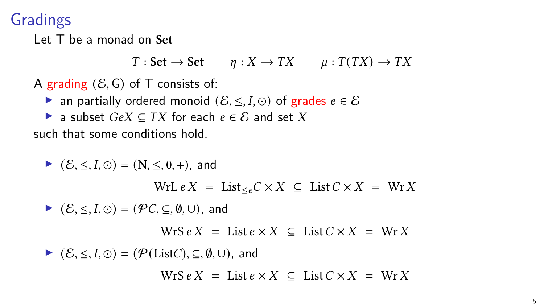## Gradings

Let T be a monad on **Set**

 $T : Set \rightarrow Set$   $n : X \rightarrow TX$   $\mu : T(TX) \rightarrow TX$ 

A grading  $(\mathcal{E}, \mathsf{G})$  of T consists of:

 $\triangleright$  an partially ordered monoid  $(\mathcal{E}, \leq, I, \odot)$  of grades  $e \in \mathcal{E}$ 

▶ a subset  $GeV \subset TX$  for each  $e \in \mathcal{E}$  and set X

such that some conditions hold.

 $\triangleright$  ( $\mathcal{E}$ ,  $\leq$ ,  $I$ ,  $\odot$ ) = (N,  $\leq$ , 0, +), and WrL  $e X = \text{List}_{\leq e} C \times X \subseteq \text{List } C \times X = \text{Wr } X$ ▶  $(\mathcal{E}, \leq, I, \odot) = (\mathcal{P}C, \subseteq, \emptyset, \cup)$ , and  $WrS e X = List e \times X \subseteq List C \times X = WrX$ ▶  $(\mathcal{E}, \leq, I, \odot) = (\mathcal{P}(\text{List}C), \subseteq, \emptyset, \cup)$ , and  $WrS eX = List e \times X \subseteq List C \times X = WrX$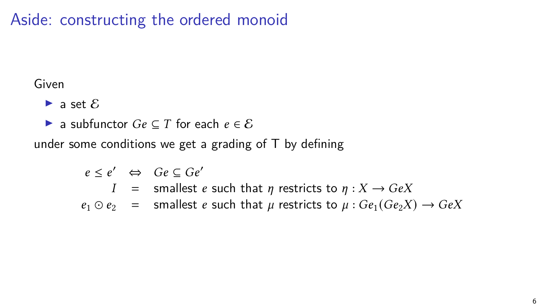Aside: constructing the ordered monoid

#### Given

- $\triangleright$  a set  $\delta$
- ▶ a subfunctor  $Ge \subseteq T$  for each  $e \in \mathcal{E}$

under some conditions we get a grading of  $T$  by defining

 $e \leq e' \iff Ge \subseteq Ge'$ 

- $I =$  smallest *e* such that  $\eta$  restricts to  $\eta : X \to GeX$
- $e_1 \odot e_2$  = smallest *e* such that  $\mu$  restricts to  $\mu : Ge_1(Ge_2X) \rightarrow GeX$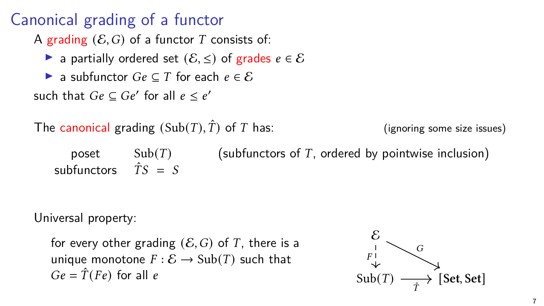# Canonical grading of a functor

A grading  $(\mathcal{E}, G)$  of a functor T consists of:

- ▶ a partially ordered set  $(\mathcal{E}, \leq)$  of grades  $e \in \mathcal{E}$
- ▶ a subfunctor  $Ge \subseteq T$  for each  $e \in \mathcal{E}$

such that  $Ge \subseteq Ge'$  for all  $e \leq e'$ 

| The canonical grading $(Sub(T), \hat{T})$ of T has: |        |  | (ignoring some size issues)                           |
|-----------------------------------------------------|--------|--|-------------------------------------------------------|
| poset<br>subfunctors $\hat{T}S = S$                 | Sub(T) |  | (subfunctors of $T$ , ordered by pointwise inclusion) |

Universal property:

for every other grading  $(\mathcal{E}, G)$  of T, there is a unique monotone  $F : \mathcal{E} \to \text{Sub}(T)$  such that  $Ge = \hat{T}(Fe)$  for all e

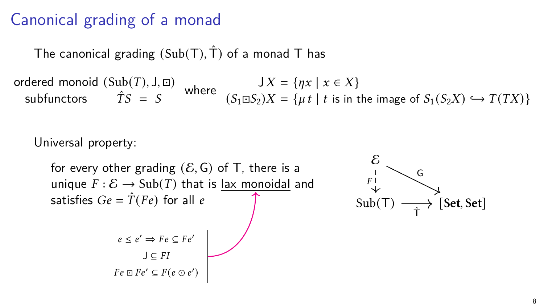#### Canonical grading of a monad

The canonical grading  $(Sub(T), \hat{T})$  of a monad T has

 $\mathsf{ordered}\ \mathsf{monoid}\ (\mathsf{Sub}(T),\mathsf{J},\Xi)$ dered monoid  $(Sub(T), J, \Box)$ <br>subfunctors  $\hat{T}S = S$  where  $(S_1 \Box S_2)X = \{\mu t \mid t \text{ is in the image of } S_1(S_2X) \hookrightarrow T(TX)\}\$ 

Universal property:

for every other grading  $(\mathcal{E}, G)$  of T, there is a unique  $F : \mathcal{E} \to \text{Sub}(T)$  that is lax monoidal and satisfies  $Ge = \hat{T}(Fe)$  for all e



$$
e \le e' \Rightarrow Fe \subseteq Fe'
$$
  

$$
J \subseteq FI
$$
  

$$
Fe \sqcup Fe' \subseteq F(e \odot e')
$$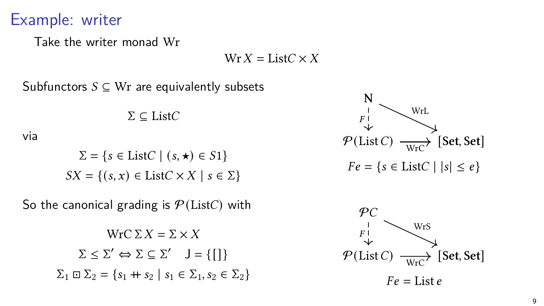#### Example: writer

via

Take the writer monad Wr

 $Wr X = ListC \times X$ 

Subfunctors  $S \subseteq Wr$  are equivalently subsets

 $\Sigma \subset \text{List}C$  $\Sigma = \{s \in \text{List}C \mid (s, \star) \in S1\}$  $SX = \{(s, x) \in \text{List} C \times X \mid s \in \Sigma\}$ 

So the canonical grading is  $P(\text{List}C)$  with

$$
\operatorname{WrC} \Sigma X = \Sigma \times X
$$

$$
\Sigma \le \Sigma' \Leftrightarrow \Sigma \subseteq \Sigma' \quad J = \{ [] \}
$$

$$
\Sigma_1 \boxdot \Sigma_2 = \{s_1 + s_2 \mid s_1 \in \Sigma_1, s_2 \in \Sigma_2 \}
$$



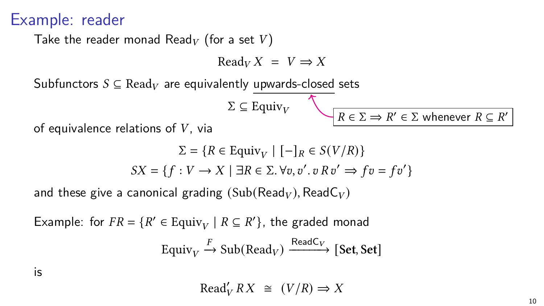#### Example: reader

Take the reader monad Read<sub>V</sub> (for a set V)

$$
ReadV X = V \Rightarrow X
$$

Subfunctors  $S \subseteq \text{Read}_V$  are equivalently upwards-closed sets

$$
\Sigma \subseteq \text{Equiv}_V
$$

 $R \in \Sigma \implies R' \in \Sigma$  whenever  $R \subseteq R'$ 

of equivalence relations of  $V$ , via

$$
\Sigma = \{ R \in \text{Equiv}_V \mid [-]_R \in S(V/R) \}
$$
  

$$
SX = \{ f : V \to X \mid \exists R \in \Sigma. \forall v, v'. v R v' \Rightarrow fv = fv' \}
$$

and these give a canonical grading  $(Sub(Read<sub>V</sub>), ReadC<sub>V</sub>)$ 

Example: for  $FR = \{R' \in \text{Equiv}_V \mid R \subseteq R'\}$ , the graded monad  $\text{Equiv}_V \xrightarrow{F} \text{Sub}(\text{Read}_V) \xrightarrow{\text{ReadC}_V} [\text{Set}, \text{Set}]$ 

is

 $\text{Read}'_V RX \cong (V/R) \Rightarrow X$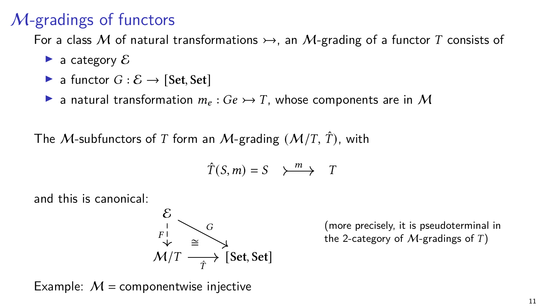# M-gradings of functors

For a class M of natural transformations  $\rightarrow$ , an M-grading of a functor T consists of

- $\blacktriangleright$  a category  $\delta$
- ▶ a functor  $G : \mathcal{E} \rightarrow$  [Set, Set]
- ▶ a natural transformation  $m_e$ :  $Ge$   $\rightarrow$  T, whose components are in M

The *M*-subfunctors of T form an *M*-grading  $(M/T, \hat{T})$ , with

$$
\hat{T}(S,m) = S \quad \searrow^m \rightarrow T
$$

and this is canonical:

$$
\begin{array}{c}\n\mathcal{E} \\
F \downarrow \\
\mathcal{M}/T \longrightarrow \hat{f}\n\end{array}
$$
\n[Set, Set]

(more precisely, it is pseudoterminal in the 2-category of  $M$ -gradings of  $T$ )

Example:  $M =$  componentwise injective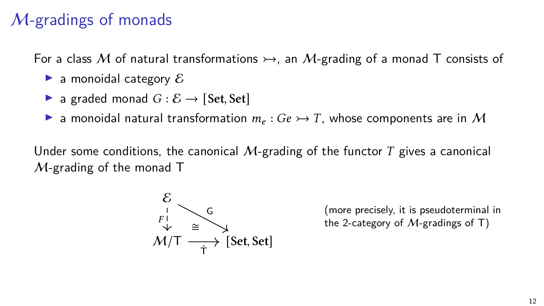## M-gradings of monads

For a class M of natural transformations  $\rightarrow$ , an M-grading of a monad T consists of

- $\blacktriangleright$  a monoidal category  $\delta$
- ▶ a graded monad  $G : \mathcal{E} \rightarrow$  [Set, Set]
- **E** a monoidal natural transformation  $m_e : Ge \rightarrow T$ , whose components are in M

Under some conditions, the canonical  $M$ -grading of the functor T gives a canonical  $M$ -grading of the monad T



(more precisely, it is pseudoterminal in the 2-category of  $M$ -gradings of T)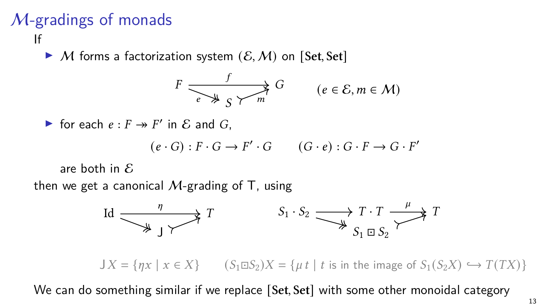#### M-gradings of monads If

▶ M forms a factorization system (E*,*M) on [**Set***,* **Set**]

$$
F \xrightarrow{f} G \qquad (e \in \mathcal{E}, m \in \mathcal{M})
$$

▶ for each  $e : F \twoheadrightarrow F'$  in  $\&$  and  $G$ ,

$$
(e \cdot G) : F \cdot G \to F' \cdot G \qquad (G \cdot e) : G \cdot F \to G \cdot F'
$$

are both in  $\mathcal E$ 

then we get a canonical M-grading of T, using



 $J X = \{ \eta x \mid x \in X \}$   $(S_1 \square S_2) X = \{ \mu t \mid t \text{ is in the image of } S_1(S_2 X) \hookrightarrow T(TX) \}$ 

We can do something similar if we replace [**Set***,* **Set**] with some other monoidal category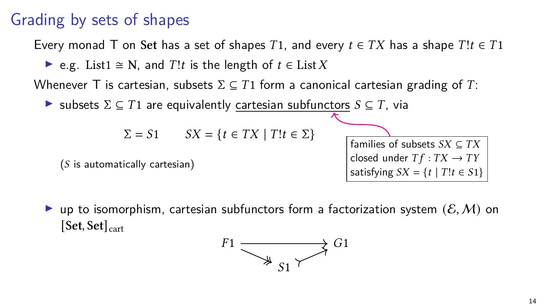## Grading by sets of shapes

Every monad T on Set has a set of shapes T1, and every  $t \in TX$  has a shape  $T!t \in T1$ 

• e.g. List1 
$$
\cong
$$
 N, and *T*!t is the length of  $t \in$  List *X*

Whenever T is cartesian, subsets  $\Sigma \subseteq T1$  form a canonical cartesian grading of T:

 $\triangleright$  subsets  $\Sigma \subseteq T1$  are equivalently cartesian subfunctors  $S \subseteq T$ , via

$$
\Sigma = S1 \qquad SX = \{ t \in TX \mid T! t \in \Sigma \}
$$

 $(S$  is automatically cartesian)

families of subsets  $SX \subseteq TX$ closed under  $Tf:TX \to TY$ satisfying  $SX = \{t \mid T!t \in S1\}$ 

**•** up to isomorphism, cartesian subfunctors form a factorization system  $(\mathcal{E}, \mathcal{M})$  on [**Set***,* **Set**]cart

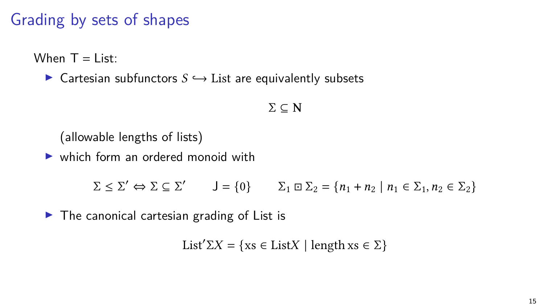## Grading by sets of shapes

When  $T = I$  ist:

▶ Cartesian subfunctors *↩*→ List are equivalently subsets

$$
\Sigma\subseteq N
$$

(allowable lengths of lists)

▶ which form an ordered monoid with

 $\Sigma \leq \Sigma' \Leftrightarrow \Sigma \subseteq \Sigma'$   $J = \{0\}$   $\Sigma_1 \boxdot \Sigma_2 = \{n_1 + n_2 \mid n_1 \in \Sigma_1, n_2 \in \Sigma_2\}$ 

 $\triangleright$  The canonical cartesian grading of List is

List<sup>'</sup> $\Sigma X$  = {xs  $\in$  List $X$  | length xs  $\in \Sigma$ }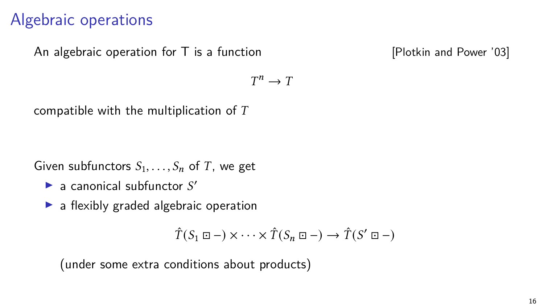## Algebraic operations

An algebraic operation for  $\overline{T}$  is a function  $\overline{P}$  [Plotkin and Power '03]

 $T^n \rightarrow T$ 

compatible with the multiplication of  $T$ 

Given subfunctors  $S_1, \ldots, S_n$  of T, we get

- $\blacktriangleright$  a canonical subfunctor  $S'$
- ▶ a flexibly graded algebraic operation

$$
\hat{T}(S_1 \boxdot -) \times \cdots \times \hat{T}(S_n \boxdot -) \to \hat{T}(S' \boxdot -)
$$

(under some extra conditions about products)